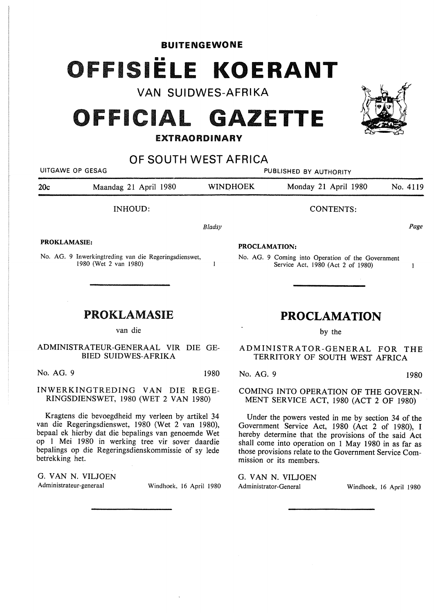## **BUITENGEWONE**  OFFISIELE KOERANT

**VAN SUIDWES-AFRIKA** 

## **OFFICIAL GAZETTE**

## **EXTRAORDINARY**

**OF SOUTH WEST AFRICA**  UITGAWE OP GESAG **PUBLISHED BY AUTHORITY** 20c Maandag 21 April 1980 WINOHOEK Monday 21 April 1980 No. 4119 INHOUD: CONTENTS: *Bladsy*  Page **PROKLAMASIE: PROCLAMATION:**  No. AG. 9 Inwerkingtreding van die Regeringsdienswet, No. AG. 9 Coming into Operation of the Government 1980 (Wet 2 van 1980)  $\mathbf{I}$ Service Act, 1980 (Act 2 of 1980)  $\mathbf{1}$ PROKLAMASIE **PROCLAMATION**  van die by the ADMINISTRATOR-GENERAL FOR THE BIED SUIDWES-AFRIKA TERRITORY OF SOUTH WEST AFRICA No. AG. 9 1980 No. AG. 9 1980

INWERKINGTREDING VAN DIE REGE-RINGSDIENSWET, 1980 (WET 2 VAN 1980)

Kragtens die bevoegdheid my verleen by artikel 34 van die Regeringsdienswet, 1980 (Wet 2 van 1980), bepaal ek hierby dat die bepalings van genoemde Wet op 1 Mei 1980 in werking tree vir sover daardie bepalings op die Regeringsdienskommissie of sy lede betrekking het.

G. **VAN N.** VILJOEN Administrateur-generaal Windhoek, 16 April 1980

COMING INTO OPERATION OF THE GOVERN-MENT SERVICE ACT, 1980 (ACT 2 OF 1980)

Under the powers vested in me by section 34 of the Government Service Act, 1980 (Act 2 of 1980), I hereby determine that the provisions of the said Act shall come into operation on 1 May 1980 in as far as those provisions relate to the Government Service Commission or its members.

G. VAN N. VILJOEN Administrator-General Windhoek, 16 April 1980

ADMINISTRA TEUR-GENERAAL VIR DIE GE-